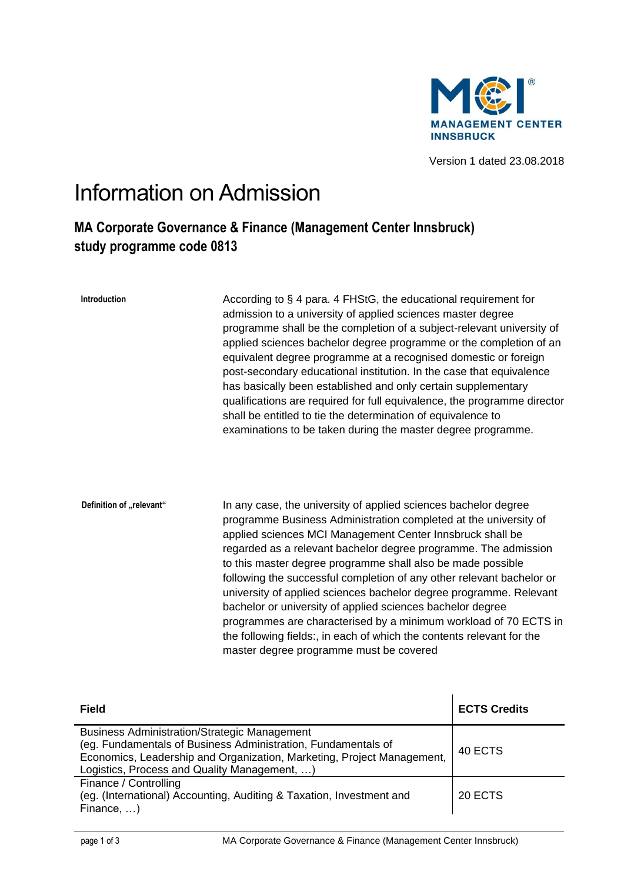

Version 1 dated 23.08.2018

## Information on Admission

## **MA Corporate Governance & Finance (Management Center Innsbruck) study programme code 0813**

| Introduction             | According to § 4 para. 4 FHStG, the educational requirement for<br>admission to a university of applied sciences master degree<br>programme shall be the completion of a subject-relevant university of<br>applied sciences bachelor degree programme or the completion of an<br>equivalent degree programme at a recognised domestic or foreign<br>post-secondary educational institution. In the case that equivalence<br>has basically been established and only certain supplementary<br>qualifications are required for full equivalence, the programme director<br>shall be entitled to tie the determination of equivalence to<br>examinations to be taken during the master degree programme.                                   |
|--------------------------|-----------------------------------------------------------------------------------------------------------------------------------------------------------------------------------------------------------------------------------------------------------------------------------------------------------------------------------------------------------------------------------------------------------------------------------------------------------------------------------------------------------------------------------------------------------------------------------------------------------------------------------------------------------------------------------------------------------------------------------------|
| Definition of "relevant" | In any case, the university of applied sciences bachelor degree<br>programme Business Administration completed at the university of<br>applied sciences MCI Management Center Innsbruck shall be<br>regarded as a relevant bachelor degree programme. The admission<br>to this master degree programme shall also be made possible<br>following the successful completion of any other relevant bachelor or<br>university of applied sciences bachelor degree programme. Relevant<br>bachelor or university of applied sciences bachelor degree<br>programmes are characterised by a minimum workload of 70 ECTS in<br>the following fields:, in each of which the contents relevant for the<br>master degree programme must be covered |

| <b>Field</b>                                                                                                                                                                                                                                   | <b>ECTS Credits</b> |
|------------------------------------------------------------------------------------------------------------------------------------------------------------------------------------------------------------------------------------------------|---------------------|
| <b>Business Administration/Strategic Management</b><br>(eg. Fundamentals of Business Administration, Fundamentals of<br>Economics, Leadership and Organization, Marketing, Project Management,<br>Logistics, Process and Quality Management, ) | 40 ECTS             |
| Finance / Controlling<br>(eg. (International) Accounting, Auditing & Taxation, Investment and<br>Finance, $\dots$ )                                                                                                                            | 20 ECTS             |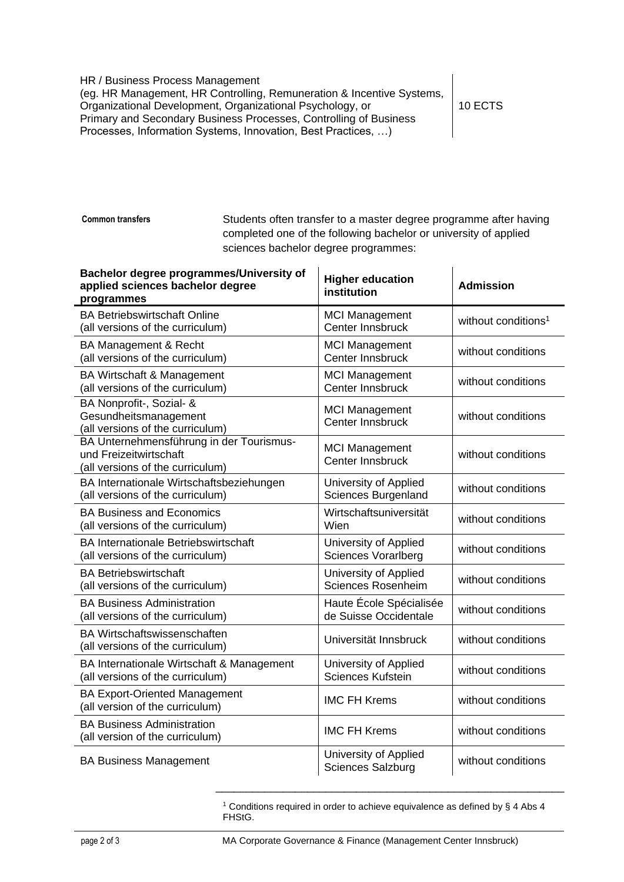HR / Business Process Management (eg. HR Management, HR Controlling, Remuneration & Incentive Systems, Organizational Development, Organizational Psychology, or Primary and Secondary Business Processes, Controlling of Business Processes, Information Systems, Innovation, Best Practices, …)

10 ECTS

**Common transfers**

Students often transfer to a master degree programme after having completed one of the following bachelor or university of applied sciences bachelor degree programmes:

| Bachelor degree programmes/University of<br>applied sciences bachelor degree<br>programmes             | <b>Higher education</b><br>institution              | <b>Admission</b>                |
|--------------------------------------------------------------------------------------------------------|-----------------------------------------------------|---------------------------------|
| <b>BA Betriebswirtschaft Online</b><br>(all versions of the curriculum)                                | <b>MCI Management</b><br>Center Innsbruck           | without conditions <sup>1</sup> |
| BA Management & Recht<br>(all versions of the curriculum)                                              | <b>MCI Management</b><br>Center Innsbruck           | without conditions              |
| BA Wirtschaft & Management<br>(all versions of the curriculum)                                         | <b>MCI Management</b><br>Center Innsbruck           | without conditions              |
| BA Nonprofit-, Sozial- &<br>Gesundheitsmanagement<br>(all versions of the curriculum)                  | <b>MCI Management</b><br>Center Innsbruck           | without conditions              |
| BA Unternehmensführung in der Tourismus-<br>und Freizeitwirtschaft<br>(all versions of the curriculum) | <b>MCI Management</b><br>Center Innsbruck           | without conditions              |
| BA Internationale Wirtschaftsbeziehungen<br>(all versions of the curriculum)                           | University of Applied<br>Sciences Burgenland        | without conditions              |
| <b>BA Business and Economics</b><br>(all versions of the curriculum)                                   | Wirtschaftsuniversität<br>Wien                      | without conditions              |
| <b>BA Internationale Betriebswirtschaft</b><br>(all versions of the curriculum)                        | University of Applied<br><b>Sciences Vorarlberg</b> | without conditions              |
| <b>BA Betriebswirtschaft</b><br>(all versions of the curriculum)                                       | University of Applied<br>Sciences Rosenheim         | without conditions              |
| <b>BA Business Administration</b><br>(all versions of the curriculum)                                  | Haute École Spécialisée<br>de Suisse Occidentale    | without conditions              |
| <b>BA Wirtschaftswissenschaften</b><br>(all versions of the curriculum)                                | Universität Innsbruck                               | without conditions              |
| BA Internationale Wirtschaft & Management<br>(all versions of the curriculum)                          | University of Applied<br><b>Sciences Kufstein</b>   | without conditions              |
| <b>BA Export-Oriented Management</b><br>(all version of the curriculum)                                | <b>IMC FH Krems</b>                                 | without conditions              |
| <b>BA Business Administration</b><br>(all version of the curriculum)                                   | <b>IMC FH Krems</b>                                 | without conditions              |
| <b>BA Business Management</b>                                                                          | University of Applied<br><b>Sciences Salzburg</b>   | without conditions              |

<sup>1</sup> Conditions required in order to achieve equivalence as defined by § 4 Abs 4 FHStG.

\_\_\_\_\_\_\_\_\_\_\_\_\_\_\_\_\_\_\_\_\_\_\_\_\_\_\_\_\_\_\_\_\_\_\_\_\_\_\_\_\_\_\_\_\_\_\_\_\_\_\_\_\_\_\_\_\_